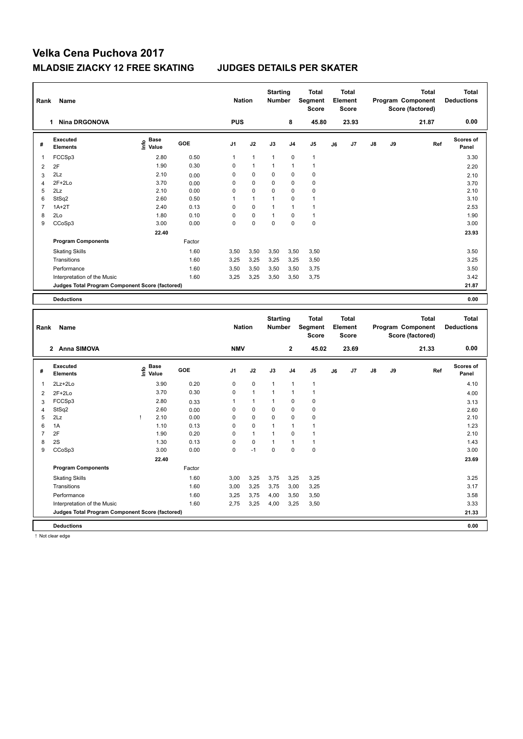| Rank                | Name                                            |                                                     |              | <b>Nation</b>    |                              | <b>Starting</b><br><b>Number</b> |                  | Total<br>Segment<br>Score               |    | <b>Total</b><br>Element<br><b>Score</b> |    |    | <b>Total</b><br>Program Component<br>Score (factored) | <b>Total</b><br><b>Deductions</b> |
|---------------------|-------------------------------------------------|-----------------------------------------------------|--------------|------------------|------------------------------|----------------------------------|------------------|-----------------------------------------|----|-----------------------------------------|----|----|-------------------------------------------------------|-----------------------------------|
|                     | 1 Nina DRGONOVA                                 |                                                     |              | <b>PUS</b>       |                              |                                  | 8                | 45.80                                   |    | 23.93                                   |    |    | 21.87                                                 | 0.00                              |
| #                   | <b>Executed</b><br><b>Elements</b>              | $rac{e}{\epsilon}$ Base<br>$rac{e}{\epsilon}$ Value | GOE          | J <sub>1</sub>   | J2                           | J3                               | J <sub>4</sub>   | J5                                      | J6 | J7                                      | J8 | J9 | Ref                                                   | Scores of<br>Panel                |
| -1                  | FCCSp3                                          | 2.80                                                | 0.50         | 1                | $\mathbf{1}$                 | $\mathbf{1}$                     | $\mathbf 0$      | $\mathbf{1}$                            |    |                                         |    |    |                                                       | 3.30                              |
| $\sqrt{2}$          | 2F                                              | 1.90                                                | 0.30         | $\mathbf 0$      | 1                            | 1                                | 1                | $\overline{1}$                          |    |                                         |    |    |                                                       | 2.20                              |
| 3                   | 2Lz                                             | 2.10                                                | 0.00         | $\mathbf 0$      | $\mathbf 0$                  | $\mathbf 0$                      | $\mathbf 0$      | $\mathbf 0$                             |    |                                         |    |    |                                                       | 2.10                              |
| $\overline{4}$      | $2F+2Lo$                                        | 3.70                                                | 0.00         | $\mathbf 0$      | 0                            | $\mathbf 0$                      | 0                | $\mathbf 0$                             |    |                                         |    |    |                                                       | 3.70                              |
| 5                   | 2Lz                                             | 2.10                                                | 0.00         | $\mathbf 0$      | $\Omega$                     | 0                                | 0                | $\mathbf 0$                             |    |                                         |    |    |                                                       | 2.10                              |
| 6                   | StSq2                                           | 2.60                                                | 0.50         | 1                | $\mathbf{1}$                 | $\mathbf{1}$                     | $\mathbf 0$      | $\mathbf{1}$                            |    |                                         |    |    |                                                       | 3.10                              |
| $\overline{7}$      | $1A+2T$                                         | 2.40                                                | 0.13         | $\mathbf 0$      | $\Omega$                     | $\mathbf{1}$                     | 1                | $\overline{1}$                          |    |                                         |    |    |                                                       | 2.53                              |
| 8                   | 2Lo                                             | 1.80                                                | 0.10         | $\mathbf 0$      | 0                            | $\mathbf{1}$                     | $\mathbf 0$      | $\mathbf{1}$                            |    |                                         |    |    |                                                       | 1.90                              |
| 9                   | CCoSp3                                          | 3.00                                                | 0.00         | $\mathbf 0$      | 0                            | 0                                | 0                | $\pmb{0}$                               |    |                                         |    |    |                                                       | 3.00                              |
|                     |                                                 | 22.40                                               |              |                  |                              |                                  |                  |                                         |    |                                         |    |    |                                                       | 23.93                             |
|                     | <b>Program Components</b>                       |                                                     | Factor       |                  |                              |                                  |                  |                                         |    |                                         |    |    |                                                       |                                   |
|                     | <b>Skating Skills</b>                           |                                                     | 1.60         | 3,50             | 3,50                         | 3,50                             | 3,50             | 3,50                                    |    |                                         |    |    |                                                       | 3.50                              |
|                     | Transitions                                     |                                                     | 1.60         | 3,25             | 3,25                         | 3,25                             | 3,25             | 3,50                                    |    |                                         |    |    |                                                       | 3.25                              |
|                     | Performance                                     |                                                     | 1.60         | 3,50             | 3,50                         | 3,50                             | 3,50             | 3,75                                    |    |                                         |    |    |                                                       | 3.50                              |
|                     | Interpretation of the Music                     |                                                     | 1.60         | 3,25             | 3,25                         | 3,50                             | 3,50             | 3,75                                    |    |                                         |    |    |                                                       | 3.42                              |
|                     | Judges Total Program Component Score (factored) |                                                     |              |                  |                              |                                  |                  |                                         |    |                                         |    |    |                                                       | 21.87                             |
|                     |                                                 |                                                     |              |                  |                              |                                  |                  |                                         |    |                                         |    |    |                                                       | 0.00                              |
|                     | <b>Deductions</b>                               |                                                     |              |                  |                              |                                  |                  |                                         |    |                                         |    |    |                                                       |                                   |
|                     |                                                 |                                                     |              |                  |                              |                                  |                  |                                         |    |                                         |    |    |                                                       |                                   |
| Rank                | Name                                            |                                                     |              | <b>Nation</b>    |                              | <b>Starting</b><br>Number        |                  | <b>Total</b><br>Segment<br><b>Score</b> |    | <b>Total</b><br>Element<br><b>Score</b> |    |    | <b>Total</b><br>Program Component<br>Score (factored) | <b>Total</b><br><b>Deductions</b> |
|                     | 2 Anna SIMOVA                                   |                                                     |              | <b>NMV</b>       |                              |                                  | $\mathbf 2$      | 45.02                                   |    | 23.69                                   |    |    | 21.33                                                 | 0.00                              |
| #                   | <b>Executed</b><br><b>Elements</b>              | e Base<br>E Value                                   | GOE          | J <sub>1</sub>   | J2                           | J3                               | J4               | J5                                      | J6 | J <sub>7</sub>                          | J8 | J9 | Ref                                                   | Scores of<br>Panel                |
| 1                   |                                                 |                                                     |              | $\mathbf 0$      | 0                            | $\mathbf{1}$                     | $\overline{1}$   | $\mathbf{1}$                            |    |                                         |    |    |                                                       | 4.10                              |
|                     | 2Lz+2Lo                                         | 3.90                                                | 0.20         |                  |                              |                                  | 1                |                                         |    |                                         |    |    |                                                       |                                   |
| $\overline{2}$      | $2F+2Lo$                                        | 3.70                                                | 0.30         | $\mathbf 0$<br>1 | $\mathbf{1}$<br>$\mathbf{1}$ | $\mathbf{1}$                     |                  | $\overline{1}$                          |    |                                         |    |    |                                                       | 4.00                              |
| 3                   | FCCSp3                                          | 2.80                                                | 0.33         |                  |                              | $\mathbf{1}$<br>0                | $\mathbf 0$      | $\pmb{0}$                               |    |                                         |    |    |                                                       | 3.13                              |
| $\overline{4}$<br>5 | StSq2<br>2Lz                                    | 2.60<br>2.10<br>Ţ                                   | 0.00<br>0.00 | $\mathbf 0$<br>0 | 0<br>0                       | 0                                | 0<br>$\mathbf 0$ | $\mathbf 0$<br>$\mathbf 0$              |    |                                         |    |    |                                                       | 2.60<br>2.10                      |
| 6                   | 1A                                              | 1.10                                                | 0.13         | $\mathbf 0$      | 0                            | $\mathbf{1}$                     | $\mathbf{1}$     | $\overline{1}$                          |    |                                         |    |    |                                                       | 1.23                              |
| $\overline{7}$      | 2F                                              | 1.90                                                | 0.20         | $\mathbf 0$      | $\mathbf{1}$                 | $\mathbf{1}$                     | 0                | $\mathbf{1}$                            |    |                                         |    |    |                                                       | 2.10                              |
| 8                   | 2S                                              | 1.30                                                | 0.13         | $\mathbf 0$      | 0                            | $\mathbf{1}$                     | 1                | $\ddot{\phantom{0}}$                    |    |                                         |    |    |                                                       | 1.43                              |
| 9                   | CCoSp3                                          | 3.00                                                | 0.00         | $\mathbf 0$      | $-1$                         | 0                                | $\mathbf 0$      | $\pmb{0}$                               |    |                                         |    |    |                                                       | 3.00                              |
|                     |                                                 | 22.40                                               |              |                  |                              |                                  |                  |                                         |    |                                         |    |    |                                                       | 23.69                             |
|                     | <b>Program Components</b>                       |                                                     | Factor       |                  |                              |                                  |                  |                                         |    |                                         |    |    |                                                       |                                   |
|                     |                                                 |                                                     |              |                  |                              |                                  |                  |                                         |    |                                         |    |    |                                                       |                                   |
|                     | <b>Skating Skills</b>                           |                                                     | 1.60         | 3,00             | 3,25                         | 3,75                             | 3,25             | 3,25                                    |    |                                         |    |    |                                                       | 3.25                              |
|                     | Transitions                                     |                                                     | 1.60         | 3,00             | 3,25                         | 3,75                             | 3,00             | 3,25                                    |    |                                         |    |    |                                                       | 3.17                              |
|                     | Performance<br>Interpretation of the Music      |                                                     | 1.60<br>1.60 | 3,25<br>2,75     | 3,75<br>3,25                 | 4,00<br>4,00                     | 3,50<br>3,25     | 3,50<br>3,50                            |    |                                         |    |    |                                                       | 3.58<br>3.33                      |

**Deductions 0.00**

! Not clear edge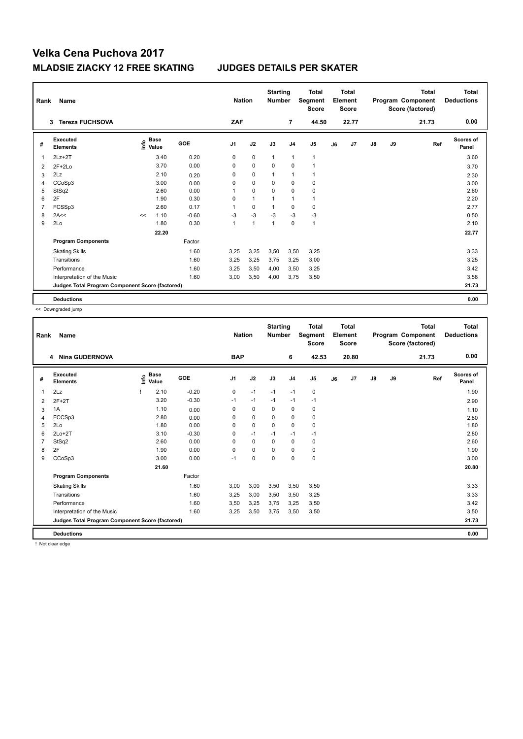| Rank           | Name                                            |    |                                  |         |                | <b>Nation</b> | <b>Starting</b><br><b>Number</b> |                | <b>Total</b><br>Segment<br><b>Score</b> |    | <b>Total</b><br>Element<br><b>Score</b> |               |    | <b>Total</b><br>Program Component<br>Score (factored) | <b>Total</b><br><b>Deductions</b> |
|----------------|-------------------------------------------------|----|----------------------------------|---------|----------------|---------------|----------------------------------|----------------|-----------------------------------------|----|-----------------------------------------|---------------|----|-------------------------------------------------------|-----------------------------------|
|                | <b>Tereza FUCHSOVA</b><br>3                     |    |                                  |         | ZAF            |               |                                  | $\overline{7}$ | 44.50                                   |    | 22.77                                   |               |    | 21.73                                                 | 0.00                              |
| #              | Executed<br><b>Elements</b>                     |    | <b>Base</b><br>e Base<br>⊆ Value | GOE     | J <sub>1</sub> | J2            | J3                               | J <sub>4</sub> | J5                                      | J6 | J7                                      | $\mathsf{J}8$ | J9 | Ref                                                   | <b>Scores of</b><br>Panel         |
| 1              | $2Lz+2T$                                        |    | 3.40                             | 0.20    | 0              | $\mathbf 0$   | $\overline{1}$                   | $\overline{1}$ | $\mathbf{1}$                            |    |                                         |               |    |                                                       | 3.60                              |
| $\overline{2}$ | $2F+2Lo$                                        |    | 3.70                             | 0.00    | 0              | $\mathbf 0$   | 0                                | 0              | 1                                       |    |                                         |               |    |                                                       | 3.70                              |
| 3              | 2Lz                                             |    | 2.10                             | 0.20    | 0              | $\mathbf 0$   | 1                                | $\overline{1}$ | $\mathbf{1}$                            |    |                                         |               |    |                                                       | 2.30                              |
| 4              | CCoSp3                                          |    | 3.00                             | 0.00    | 0              | $\mathbf 0$   | 0                                | $\mathbf 0$    | $\pmb{0}$                               |    |                                         |               |    |                                                       | 3.00                              |
| 5              | StSq2                                           |    | 2.60                             | 0.00    | 1              | $\mathbf 0$   | $\mathbf 0$                      | $\mathbf 0$    | $\pmb{0}$                               |    |                                         |               |    |                                                       | 2.60                              |
| 6              | 2F                                              |    | 1.90                             | 0.30    | 0              | $\mathbf{1}$  | 1                                | $\mathbf{1}$   | $\mathbf{1}$                            |    |                                         |               |    |                                                       | 2.20                              |
| 7              | FCSSp3                                          |    | 2.60                             | 0.17    | 1              | $\mathbf 0$   | 1                                | 0              | $\mathbf 0$                             |    |                                         |               |    |                                                       | 2.77                              |
| 8              | 2A<<                                            | << | 1.10                             | $-0.60$ | $-3$           | $-3$          | $-3$                             | $-3$           | $-3$                                    |    |                                         |               |    |                                                       | 0.50                              |
| 9              | 2Lo                                             |    | 1.80                             | 0.30    | $\mathbf{1}$   | $\mathbf{1}$  | $\overline{1}$                   | $\mathbf 0$    | $\mathbf{1}$                            |    |                                         |               |    |                                                       | 2.10                              |
|                |                                                 |    | 22.20                            |         |                |               |                                  |                |                                         |    |                                         |               |    |                                                       | 22.77                             |
|                | <b>Program Components</b>                       |    |                                  | Factor  |                |               |                                  |                |                                         |    |                                         |               |    |                                                       |                                   |
|                | <b>Skating Skills</b>                           |    |                                  | 1.60    | 3,25           | 3,25          | 3,50                             | 3,50           | 3,25                                    |    |                                         |               |    |                                                       | 3.33                              |
|                | Transitions                                     |    |                                  | 1.60    | 3,25           | 3,25          | 3,75                             | 3,25           | 3,00                                    |    |                                         |               |    |                                                       | 3.25                              |
|                | Performance                                     |    |                                  | 1.60    | 3,25           | 3,50          | 4,00                             | 3,50           | 3,25                                    |    |                                         |               |    |                                                       | 3.42                              |
|                | Interpretation of the Music                     |    |                                  | 1.60    | 3,00           | 3,50          | 4,00                             | 3,75           | 3,50                                    |    |                                         |               |    |                                                       | 3.58                              |
|                | Judges Total Program Component Score (factored) |    |                                  |         |                |               |                                  |                |                                         |    |                                         |               |    |                                                       | 21.73                             |
|                | <b>Deductions</b>                               |    |                                  |         |                |               |                                  |                |                                         |    |                                         |               |    |                                                       | 0.00                              |

<< Downgraded jump

| Rank | <b>Name</b>                                     |      |                      |         | <b>Nation</b>  |             | <b>Starting</b><br><b>Number</b> |                | <b>Total</b><br>Segment<br><b>Score</b> |    | Total<br>Element<br><b>Score</b> |               |    | <b>Total</b><br>Program Component<br>Score (factored) | <b>Total</b><br><b>Deductions</b> |
|------|-------------------------------------------------|------|----------------------|---------|----------------|-------------|----------------------------------|----------------|-----------------------------------------|----|----------------------------------|---------------|----|-------------------------------------------------------|-----------------------------------|
|      | <b>Nina GUDERNOVA</b><br>4                      |      |                      |         | <b>BAP</b>     |             |                                  | 6              | 42.53                                   |    | 20.80                            |               |    | 21.73                                                 | 0.00                              |
| #    | Executed<br><b>Elements</b>                     | Info | <b>Base</b><br>Value | GOE     | J <sub>1</sub> | J2          | J3                               | J <sub>4</sub> | J <sub>5</sub>                          | J6 | J7                               | $\mathsf{J}8$ | J9 | Ref                                                   | Scores of<br>Panel                |
| 1    | 2Lz                                             |      | 2.10                 | $-0.20$ | 0              | $-1$        | $-1$                             | $-1$           | $\pmb{0}$                               |    |                                  |               |    |                                                       | 1.90                              |
| 2    | $2F+2T$                                         |      | 3.20                 | $-0.30$ | $-1$           | $-1$        | $-1$                             | $-1$           | $-1$                                    |    |                                  |               |    |                                                       | 2.90                              |
| 3    | 1A                                              |      | 1.10                 | 0.00    | 0              | $\mathbf 0$ | 0                                | 0              | 0                                       |    |                                  |               |    |                                                       | 1.10                              |
| 4    | FCCSp3                                          |      | 2.80                 | 0.00    | 0              | $\mathbf 0$ | 0                                | 0              | $\pmb{0}$                               |    |                                  |               |    |                                                       | 2.80                              |
| 5    | 2Lo                                             |      | 1.80                 | 0.00    | 0              | $\mathbf 0$ | $\mathbf 0$                      | $\mathbf 0$    | $\pmb{0}$                               |    |                                  |               |    |                                                       | 1.80                              |
| 6    | $2Lo+2T$                                        |      | 3.10                 | $-0.30$ | 0              | $-1$        | $-1$                             | $-1$           | -1                                      |    |                                  |               |    |                                                       | 2.80                              |
|      | StSq2                                           |      | 2.60                 | 0.00    | 0              | $\mathbf 0$ | 0                                | 0              | 0                                       |    |                                  |               |    |                                                       | 2.60                              |
| 8    | 2F                                              |      | 1.90                 | 0.00    | 0              | $\mathbf 0$ | $\Omega$                         | 0              | 0                                       |    |                                  |               |    |                                                       | 1.90                              |
| 9    | CCoSp3                                          |      | 3.00                 | 0.00    | $-1$           | $\mathbf 0$ | 0                                | $\mathbf 0$    | $\mathbf 0$                             |    |                                  |               |    |                                                       | 3.00                              |
|      |                                                 |      | 21.60                |         |                |             |                                  |                |                                         |    |                                  |               |    |                                                       | 20.80                             |
|      | <b>Program Components</b>                       |      |                      | Factor  |                |             |                                  |                |                                         |    |                                  |               |    |                                                       |                                   |
|      | <b>Skating Skills</b>                           |      |                      | 1.60    | 3,00           | 3,00        | 3,50                             | 3,50           | 3,50                                    |    |                                  |               |    |                                                       | 3.33                              |
|      | Transitions                                     |      |                      | 1.60    | 3,25           | 3,00        | 3,50                             | 3,50           | 3,25                                    |    |                                  |               |    |                                                       | 3.33                              |
|      | Performance                                     |      |                      | 1.60    | 3,50           | 3,25        | 3,75                             | 3,25           | 3,50                                    |    |                                  |               |    |                                                       | 3.42                              |
|      | Interpretation of the Music                     |      |                      | 1.60    | 3,25           | 3,50        | 3,75                             | 3,50           | 3,50                                    |    |                                  |               |    |                                                       | 3.50                              |
|      | Judges Total Program Component Score (factored) |      |                      |         |                |             |                                  |                |                                         |    |                                  |               |    |                                                       | 21.73                             |
|      | <b>Deductions</b>                               |      |                      |         |                |             |                                  |                |                                         |    |                                  |               |    |                                                       | 0.00                              |

! Not clear edge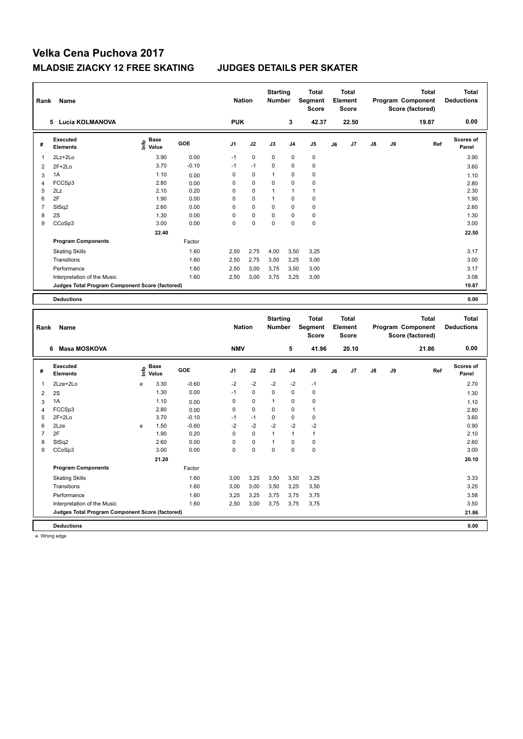| Rank           | Name                                            |                                            |                                  |              | <b>Nation</b>  |              | <b>Starting</b><br><b>Number</b> |                | <b>Total</b><br>Segment<br><b>Score</b> |    | <b>Total</b><br>Element<br><b>Score</b> |    |    | <b>Total</b><br>Program Component<br>Score (factored) | <b>Total</b><br><b>Deductions</b> |
|----------------|-------------------------------------------------|--------------------------------------------|----------------------------------|--------------|----------------|--------------|----------------------------------|----------------|-----------------------------------------|----|-----------------------------------------|----|----|-------------------------------------------------------|-----------------------------------|
|                | 5 Lucia KOLMANOVA                               |                                            |                                  |              | <b>PUK</b>     |              |                                  | 3              | 42.37                                   |    | 22.50                                   |    |    | 19.87                                                 | 0.00                              |
| #              | <b>Executed</b><br><b>Elements</b>              |                                            | <b>Base</b><br>e Base<br>⊆ Value | GOE          | J <sub>1</sub> | J2           | J3                               | J <sub>4</sub> | J <sub>5</sub>                          | J6 | J7                                      | J8 | J9 | Ref                                                   | <b>Scores of</b><br>Panel         |
| $\mathbf{1}$   | 2Lz+2Lo                                         |                                            | 3.90                             | 0.00         | $-1$           | 0            | 0                                | 0              | $\mathbf 0$                             |    |                                         |    |    |                                                       | 3.90                              |
| $\overline{2}$ | $2F+2Lo$                                        |                                            | 3.70                             | $-0.10$      | $-1$           | $-1$         | $\mathbf 0$                      | 0              | $\mathbf 0$                             |    |                                         |    |    |                                                       | 3.60                              |
| 3              | 1A                                              |                                            | 1.10                             | 0.00         | $\mathbf 0$    | 0            | $\mathbf{1}$                     | $\mathbf 0$    | $\mathbf 0$                             |    |                                         |    |    |                                                       | 1.10                              |
| $\overline{4}$ | FCCSp3                                          |                                            | 2.80                             | 0.00         | $\mathbf 0$    | $\mathbf 0$  | $\mathbf 0$                      | $\mathbf 0$    | 0                                       |    |                                         |    |    |                                                       | 2.80                              |
| 5              | 2Lz                                             |                                            | 2.10                             | 0.20         | $\mathbf 0$    | 0            | $\mathbf{1}$                     | 1              | $\mathbf{1}$                            |    |                                         |    |    |                                                       | 2.30                              |
| 6              | 2F                                              |                                            | 1.90                             | 0.00         | $\mathbf 0$    | $\mathbf 0$  | $\mathbf{1}$                     | $\mathbf 0$    | $\mathbf 0$                             |    |                                         |    |    |                                                       | 1.90                              |
| $\overline{7}$ | StSq2                                           |                                            | 2.60                             | 0.00         | $\mathbf 0$    | 0            | 0                                | 0              | $\pmb{0}$                               |    |                                         |    |    |                                                       | 2.60                              |
| 8              | 2S                                              |                                            | 1.30                             | 0.00         | $\mathbf 0$    | $\pmb{0}$    | 0                                | $\mathbf 0$    | $\pmb{0}$                               |    |                                         |    |    |                                                       | 1.30                              |
| 9              | CCoSp3                                          |                                            | 3.00                             | 0.00         | $\Omega$       | 0            | 0                                | 0              | $\mathbf 0$                             |    |                                         |    |    |                                                       | 3.00                              |
|                |                                                 |                                            | 22.40                            |              |                |              |                                  |                |                                         |    |                                         |    |    |                                                       | 22.50                             |
|                | <b>Program Components</b>                       |                                            |                                  | Factor       |                |              |                                  |                |                                         |    |                                         |    |    |                                                       |                                   |
|                | <b>Skating Skills</b>                           |                                            |                                  | 1.60         | 2,50           | 2,75         | 4,00                             | 3,50           | 3,25                                    |    |                                         |    |    |                                                       | 3.17                              |
|                | Transitions                                     |                                            |                                  | 1.60         | 2,50           | 2,75         | 3,50                             | 3,25           | 3,00                                    |    |                                         |    |    |                                                       | 3.00                              |
|                | Performance                                     |                                            |                                  | 1.60         | 2,50           | 3,00         | 3,75                             | 3,50           | 3,00                                    |    |                                         |    |    |                                                       | 3.17                              |
|                | Interpretation of the Music                     |                                            |                                  | 1.60         | 2,50           | 3,00         | 3,75                             | 3,25           | 3,00                                    |    |                                         |    |    |                                                       | 3.08                              |
|                | Judges Total Program Component Score (factored) |                                            |                                  |              |                |              |                                  |                |                                         |    |                                         |    |    |                                                       | 19.87                             |
|                | <b>Deductions</b>                               |                                            |                                  |              |                |              |                                  |                |                                         |    |                                         |    |    |                                                       |                                   |
|                |                                                 |                                            |                                  |              |                |              |                                  |                |                                         |    |                                         |    |    |                                                       | 0.00                              |
|                |                                                 |                                            |                                  |              |                |              |                                  |                |                                         |    |                                         |    |    |                                                       |                                   |
| Rank           | Name                                            |                                            |                                  |              | <b>Nation</b>  |              | <b>Starting</b><br><b>Number</b> |                | <b>Total</b><br>Segment<br>Score        |    | <b>Total</b><br>Element<br><b>Score</b> |    |    | <b>Total</b><br>Program Component<br>Score (factored) | <b>Total</b><br><b>Deductions</b> |
|                | Masa MOSKOVA<br>6                               |                                            |                                  |              | <b>NMV</b>     |              |                                  | 5              | 41.96                                   |    | 20.10                                   |    |    | 21.86                                                 | 0.00                              |
| #              | <b>Executed</b>                                 |                                            | <b>Base</b>                      | GOE          | J <sub>1</sub> | J2           | J3                               | J4             | J5                                      | J6 | J7                                      | J8 | J9 | Ref                                                   | Scores of                         |
|                | <b>Elements</b>                                 | ۴ô                                         | Value                            |              |                |              |                                  |                |                                         |    |                                         |    |    |                                                       | Panel                             |
| $\mathbf{1}$   | 2Lze+2Lo                                        | e                                          | 3.30                             | $-0.60$      | $-2$           | $-2$         | $-2$                             | $-2$           | $-1$                                    |    |                                         |    |    |                                                       | 2.70                              |
| $\overline{2}$ | 2S                                              |                                            | 1.30                             | 0.00         | $-1$           | 0            | 0                                | 0              | $\mathbf 0$                             |    |                                         |    |    |                                                       | 1.30                              |
| 3              | 1A                                              |                                            | 1.10                             | 0.00         | $\mathbf 0$    | 0            | $\mathbf{1}$                     | $\mathbf 0$    | $\mathbf 0$                             |    |                                         |    |    |                                                       | 1.10                              |
| $\overline{4}$ | FCCSp3                                          |                                            | 2.80                             | 0.00         | $\mathbf 0$    | $\Omega$     | $\mathbf 0$                      | $\mathbf 0$    | $\overline{1}$                          |    |                                         |    |    |                                                       | 2.80                              |
| 5              | $2F+2Lo$                                        |                                            | 3.70                             | $-0.10$      | $-1$           | $-1$         | 0                                | $\mathbf 0$    | $\mathbf 0$                             |    |                                         |    |    |                                                       | 3.60                              |
| 6              | 2Lze                                            | $\mathsf{e}% _{0}\left( \mathsf{e}\right)$ | 1.50                             | $-0.60$      | $-2$           | $-2$         | $-2$                             | $-2$           | $-2$                                    |    |                                         |    |    |                                                       | 0.90                              |
| $\overline{7}$ | 2F                                              |                                            | 1.90                             | 0.20         | $\mathbf 0$    | $\pmb{0}$    | $\mathbf{1}$                     | $\mathbf{1}$   | $\mathbf{1}$                            |    |                                         |    |    |                                                       | 2.10                              |
| 8              | StSq2                                           |                                            | 2.60                             | 0.00         | $\mathbf 0$    | 0            | $\mathbf{1}$                     | 0              | $\pmb{0}$                               |    |                                         |    |    |                                                       | 2.60                              |
| 9              | CCoSp3                                          |                                            | 3.00                             | 0.00         | $\mathbf 0$    | 0            | $\mathbf 0$                      | $\Omega$       | $\mathbf 0$                             |    |                                         |    |    |                                                       | 3.00                              |
|                |                                                 |                                            | 21.20                            |              |                |              |                                  |                |                                         |    |                                         |    |    |                                                       | 20.10                             |
|                | <b>Program Components</b>                       |                                            |                                  | Factor       |                |              |                                  |                |                                         |    |                                         |    |    |                                                       |                                   |
|                | <b>Skating Skills</b>                           |                                            |                                  | 1.60         | 3,00           | 3,25         | 3,50                             | 3,50           | 3,25                                    |    |                                         |    |    |                                                       | 3.33                              |
|                | Transitions<br>Performance                      |                                            |                                  | 1.60<br>1.60 | 3,00<br>3,25   | 3,00<br>3,25 | 3,50<br>3,75                     | 3,25<br>3,75   | 3,50<br>3,75                            |    |                                         |    |    |                                                       | 3.25<br>3.58                      |

Interpretation of the Music 1.60 2,50 3,00 3,75 3,75 3,75 3.50

**Judges Total Program Component Score (factored) 21.86**

**Deductions 0.00**

e Wrong edge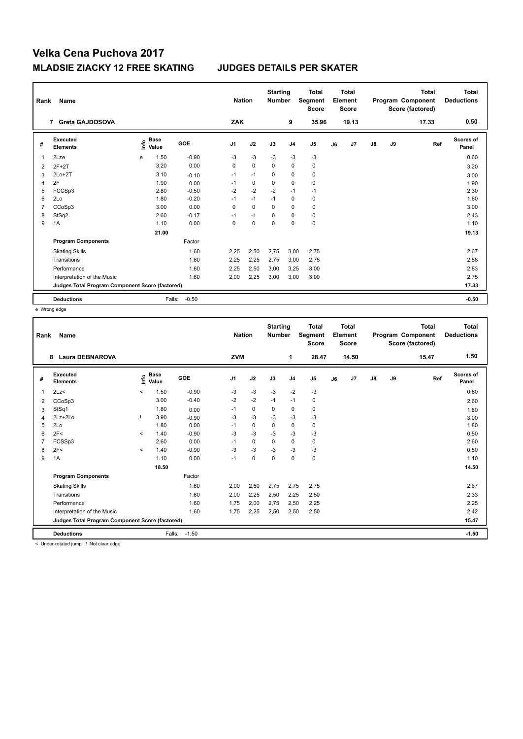| Rank           | Name                                            |    |                      |         |                | <b>Nation</b> | <b>Starting</b><br><b>Number</b> |                | <b>Total</b><br>Segment<br><b>Score</b> |    | Total<br>Element<br><b>Score</b> |               |    | <b>Total</b><br>Program Component<br>Score (factored) | Total<br><b>Deductions</b> |
|----------------|-------------------------------------------------|----|----------------------|---------|----------------|---------------|----------------------------------|----------------|-----------------------------------------|----|----------------------------------|---------------|----|-------------------------------------------------------|----------------------------|
|                | 7 Greta GAJDOSOVA                               |    |                      |         | <b>ZAK</b>     |               |                                  | 9              | 35.96                                   |    | 19.13                            |               |    | 17.33                                                 | 0.50                       |
| #              | Executed<br><b>Elements</b>                     | ۴o | <b>Base</b><br>Value | GOE     | J <sub>1</sub> | J2            | J3                               | J <sub>4</sub> | J <sub>5</sub>                          | J6 | J7                               | $\mathsf{J}8$ | J9 | Ref                                                   | <b>Scores of</b><br>Panel  |
| 1              | 2Lze                                            | e  | 1.50                 | $-0.90$ | $-3$           | $-3$          | $-3$                             | $-3$           | $-3$                                    |    |                                  |               |    |                                                       | 0.60                       |
| 2              | $2F+2T$                                         |    | 3.20                 | 0.00    | 0              | $\mathbf 0$   | 0                                | $\mathbf 0$    | $\pmb{0}$                               |    |                                  |               |    |                                                       | 3.20                       |
| 3              | $2Lo+2T$                                        |    | 3.10                 | $-0.10$ | $-1$           | $-1$          | $\mathbf 0$                      | $\mathbf 0$    | $\mathbf 0$                             |    |                                  |               |    |                                                       | 3.00                       |
| $\overline{4}$ | 2F                                              |    | 1.90                 | 0.00    | $-1$           | 0             | 0                                | 0              | 0                                       |    |                                  |               |    |                                                       | 1.90                       |
| 5              | FCCSp3                                          |    | 2.80                 | $-0.50$ | $-2$           | $-2$          | $-2$                             | $-1$           | $-1$                                    |    |                                  |               |    |                                                       | 2.30                       |
| 6              | 2Lo                                             |    | 1.80                 | $-0.20$ | $-1$           | $-1$          | $-1$                             | 0              | 0                                       |    |                                  |               |    |                                                       | 1.60                       |
| 7              | CCoSp3                                          |    | 3.00                 | 0.00    | 0              | $\mathbf 0$   | $\mathbf 0$                      | $\mathbf 0$    | $\mathbf 0$                             |    |                                  |               |    |                                                       | 3.00                       |
| 8              | StSq2                                           |    | 2.60                 | $-0.17$ | $-1$           | $-1$          | 0                                | 0              | 0                                       |    |                                  |               |    |                                                       | 2.43                       |
| 9              | 1A                                              |    | 1.10                 | 0.00    | 0              | $\mathbf 0$   | 0                                | $\mathbf 0$    | $\pmb{0}$                               |    |                                  |               |    |                                                       | 1.10                       |
|                |                                                 |    | 21.00                |         |                |               |                                  |                |                                         |    |                                  |               |    |                                                       | 19.13                      |
|                | <b>Program Components</b>                       |    |                      | Factor  |                |               |                                  |                |                                         |    |                                  |               |    |                                                       |                            |
|                | <b>Skating Skills</b>                           |    |                      | 1.60    | 2,25           | 2,50          | 2,75                             | 3,00           | 2,75                                    |    |                                  |               |    |                                                       | 2.67                       |
|                | Transitions                                     |    |                      | 1.60    | 2,25           | 2,25          | 2,75                             | 3,00           | 2,75                                    |    |                                  |               |    |                                                       | 2.58                       |
|                | Performance                                     |    |                      | 1.60    | 2,25           | 2,50          | 3,00                             | 3,25           | 3,00                                    |    |                                  |               |    |                                                       | 2.83                       |
|                | Interpretation of the Music                     |    |                      | 1.60    | 2,00           | 2,25          | 3,00                             | 3,00           | 3,00                                    |    |                                  |               |    |                                                       | 2.75                       |
|                | Judges Total Program Component Score (factored) |    |                      |         |                |               |                                  |                |                                         |    |                                  |               |    |                                                       | 17.33                      |
|                | <b>Deductions</b>                               |    | Falls:               | $-0.50$ |                |               |                                  |                |                                         |    |                                  |               |    |                                                       | $-0.50$                    |

e Wrong edge

| Rank | Name                                            |         |                      |         | <b>Nation</b>  |             | <b>Starting</b><br>Number |                | <b>Total</b><br>Segment<br><b>Score</b> |    | <b>Total</b><br>Element<br><b>Score</b> |               |    | <b>Total</b><br>Program Component<br>Score (factored) | <b>Total</b><br><b>Deductions</b> |
|------|-------------------------------------------------|---------|----------------------|---------|----------------|-------------|---------------------------|----------------|-----------------------------------------|----|-----------------------------------------|---------------|----|-------------------------------------------------------|-----------------------------------|
|      | <b>Laura DEBNAROVA</b><br>8                     |         |                      |         | <b>ZVM</b>     |             |                           | 1              | 28.47                                   |    | 14.50                                   |               |    | 15.47                                                 | 1.50                              |
| #    | Executed<br><b>Elements</b>                     | Linfo   | <b>Base</b><br>Value | GOE     | J <sub>1</sub> | J2          | J3                        | J <sub>4</sub> | J5                                      | J6 | J7                                      | $\mathsf{J}8$ | J9 | Ref                                                   | Scores of<br>Panel                |
| 1    | 2Lz                                             | $\prec$ | 1.50                 | $-0.90$ | -3             | $-3$        | $-3$                      | $-2$           | $-3$                                    |    |                                         |               |    |                                                       | 0.60                              |
| 2    | CCoSp3                                          |         | 3.00                 | $-0.40$ | $-2$           | $-2$        | $-1$                      | $-1$           | 0                                       |    |                                         |               |    |                                                       | 2.60                              |
| 3    | StSq1                                           |         | 1.80                 | 0.00    | $-1$           | $\mathbf 0$ | $\Omega$                  | $\mathbf 0$    | $\mathbf 0$                             |    |                                         |               |    |                                                       | 1.80                              |
| 4    | 2Lz+2Lo                                         |         | 3.90                 | $-0.90$ | -3             | $-3$        | $-3$                      | $-3$           | $-3$                                    |    |                                         |               |    |                                                       | 3.00                              |
| 5    | 2Lo                                             |         | 1.80                 | 0.00    | $-1$           | 0           | $\mathbf 0$               | 0              | 0                                       |    |                                         |               |    |                                                       | 1.80                              |
| 6    | 2F<                                             | $\prec$ | 1.40                 | $-0.90$ | $-3$           | $-3$        | $-3$                      | $-3$           | $-3$                                    |    |                                         |               |    |                                                       | 0.50                              |
|      | FCSSp3                                          |         | 2.60                 | 0.00    | $-1$           | 0           | $\Omega$                  | 0              | 0                                       |    |                                         |               |    |                                                       | 2.60                              |
| 8    | 2F<                                             | $\prec$ | 1.40                 | $-0.90$ | $-3$           | $-3$        | $-3$                      | $-3$           | $-3$                                    |    |                                         |               |    |                                                       | 0.50                              |
| 9    | 1A                                              |         | 1.10                 | 0.00    | $-1$           | $\mathbf 0$ | $\Omega$                  | $\mathbf 0$    | $\pmb{0}$                               |    |                                         |               |    |                                                       | 1.10                              |
|      |                                                 |         | 18.50                |         |                |             |                           |                |                                         |    |                                         |               |    |                                                       | 14.50                             |
|      | <b>Program Components</b>                       |         |                      | Factor  |                |             |                           |                |                                         |    |                                         |               |    |                                                       |                                   |
|      | <b>Skating Skills</b>                           |         |                      | 1.60    | 2,00           | 2,50        | 2,75                      | 2,75           | 2,75                                    |    |                                         |               |    |                                                       | 2.67                              |
|      | Transitions                                     |         |                      | 1.60    | 2,00           | 2,25        | 2,50                      | 2,25           | 2,50                                    |    |                                         |               |    |                                                       | 2.33                              |
|      | Performance                                     |         |                      | 1.60    | 1,75           | 2,00        | 2,75                      | 2,50           | 2,25                                    |    |                                         |               |    |                                                       | 2.25                              |
|      | Interpretation of the Music                     |         |                      | 1.60    | 1,75           | 2,25        | 2,50                      | 2,50           | 2,50                                    |    |                                         |               |    |                                                       | 2.42                              |
|      | Judges Total Program Component Score (factored) |         |                      |         |                |             |                           |                |                                         |    |                                         |               |    |                                                       | 15.47                             |
|      | <b>Deductions</b>                               |         | Falls:               | $-1.50$ |                |             |                           |                |                                         |    |                                         |               |    |                                                       | $-1.50$                           |

< Under-rotated jump ! Not clear edge